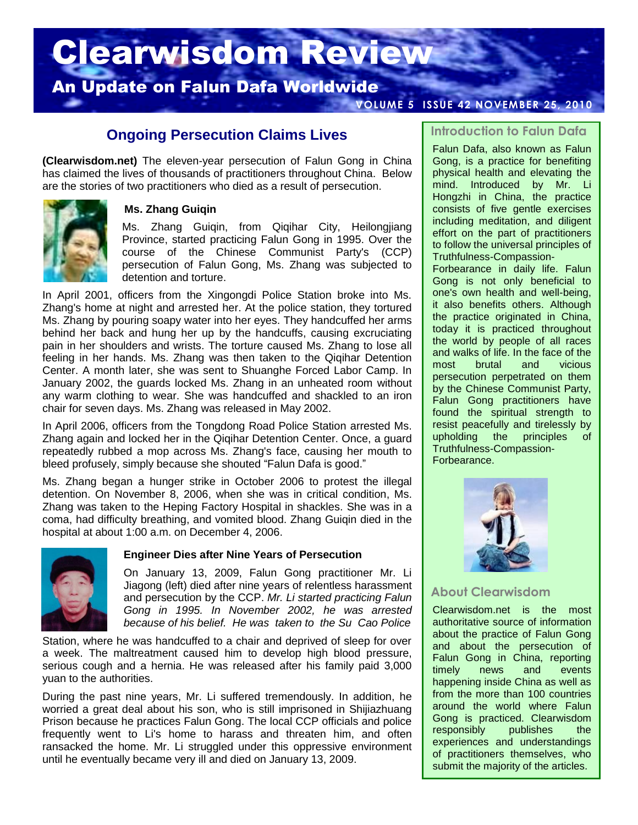# Clearwisdom Review

# An Update on Falun Dafa Worldwide

#### **VOLUME 5 ISSUE 42 NOVEMBER 25, 2010**

# **Ongoing Persecution Claims Lives**

**(Clearwisdom.net)** The eleven-year persecution of Falun Gong in China has claimed the lives of thousands of practitioners throughout China. Below are the stories of two practitioners who died as a result of persecution.



#### **Ms. Zhang Guiqin**

Ms. Zhang Guiqin, from Qiqihar City, Heilongjiang Province, started practicing Falun Gong in 1995. Over the course of the Chinese Communist Party's (CCP) persecution of Falun Gong, Ms. Zhang was subjected to detention and torture.

In April 2001, officers from the Xingongdi Police Station broke into Ms. Zhang's home at night and arrested her. At the police station, they tortured Ms. Zhang by pouring soapy water into her eyes. They handcuffed her arms behind her back and hung her up by the handcuffs, causing excruciating pain in her shoulders and wrists. The torture caused Ms. Zhang to lose all feeling in her hands. Ms. Zhang was then taken to the Qiqihar Detention Center. A month later, she was sent to Shuanghe Forced Labor Camp. In January 2002, the guards locked Ms. Zhang in an unheated room without any warm clothing to wear. She was handcuffed and shackled to an iron chair for seven days. Ms. Zhang was released in May 2002.

In April 2006, officers from the Tongdong Road Police Station arrested Ms. Zhang again and locked her in the Qiqihar Detention Center. Once, a guard repeatedly rubbed a mop across Ms. Zhang's face, causing her mouth to bleed profusely, simply because she shouted "Falun Dafa is good."

Ms. Zhang began a hunger strike in October 2006 to protest the illegal detention. On November 8, 2006, when she was in critical condition, Ms. Zhang was taken to the Heping Factory Hospital in shackles. She was in a coma, had difficulty breathing, and vomited blood. Zhang Guiqin died in the hospital at about 1:00 a.m. on December 4, 2006.



#### **Engineer Dies after Nine Years of Persecution**

On January 13, 2009, Falun Gong practitioner Mr. Li Jiagong (left) died after nine years of relentless harassment and persecution by the CCP. *Mr. Li started practicing Falun Gong in 1995. In November 2002, he was arrested because of his belief. He was taken to the Su Cao Police*

Station, where he was handcuffed to a chair and deprived of sleep for over a week. The maltreatment caused him to develop high blood pressure, serious cough and a hernia. He was released after his family paid 3,000 yuan to the authorities.

During the past nine years, Mr. Li suffered tremendously. In addition, he worried a great deal about his son, who is still imprisoned in Shijiazhuang Prison because he practices Falun Gong. The local CCP officials and police frequently went to Li's home to harass and threaten him, and often ransacked the home. Mr. Li struggled under this oppressive environment until he eventually became very ill and died on January 13, 2009.

#### **Introduction to Falun Dafa**

Falun Dafa, also known as Falun Gong, is a practice for benefiting physical health and elevating the mind. Introduced by Mr. Li Hongzhi in China, the practice consists of five gentle exercises including meditation, and diligent effort on the part of practitioners to follow the universal principles of Truthfulness-Compassion-

Forbearance in daily life. Falun Gong is not only beneficial to one's own health and well-being, it also benefits others. Although the practice originated in China, today it is practiced throughout the world by people of all races and walks of life. In the face of the most brutal and vicious persecution perpetrated on them by the Chinese Communist Party, Falun Gong practitioners have found the spiritual strength to resist peacefully and tirelessly by upholding the principles of Truthfulness-Compassion-Forbearance.



# **About Clearwisdom**

Clearwisdom.net is the most authoritative source of information about the practice of Falun Gong and about the persecution of Falun Gong in China, reporting timely news and events happening inside China as well as from the more than 100 countries around the world where Falun Gong is practiced. Clearwisdom responsibly publishes the experiences and understandings of practitioners themselves, who submit the majority of the articles.